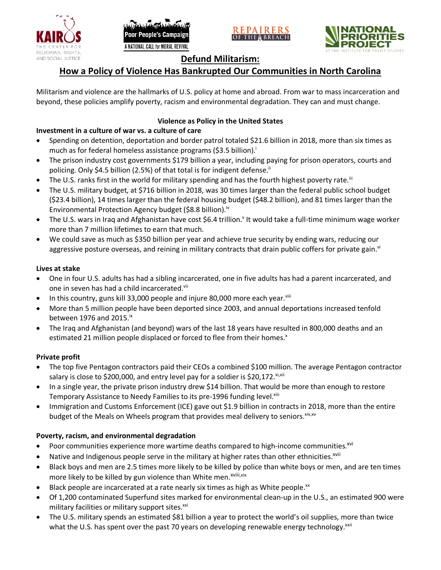





# **Defund Militarism:**

# **How a Policy of Violence Has Bankrupted Our Communities in North Carolina**

Militarism and violence are the hallmarks of U.S. policy at home and abroad. From war to mass incarceration and beyond, these policies amplify poverty, racism and environmental degradation. They can and must change.

# **Violence as Policy in the United States**

# **Investment in a culture of war vs. a culture of care**

- Spending on detention, deportation and border patrol totaled \$21.6 billion in 2018, more than six times as much as for federal homeless assistance programs (\$3.5 billion).<sup>i</sup>
- The prison industry cost governments \$179 billion a year, including paying for prison operators, courts and policing. Only \$4.5 billion (2.5%) of that total is for indigent defense.<sup>ii</sup>
- The U.S. ranks first in the world for military spending and has the fourth highest poverty rate.<sup>iii</sup>
- The U.S. military budget, at \$716 billion in 2018, was 30 times larger than the federal public school budget (\$23.4 billion), 14 times larger than the federal housing budget (\$48.2 billion), and 81 times larger than the Environmental Protection Agency budget (\$8.8 billion).<sup>iv</sup>
- The U.S. wars in Iraq and Afghanistan have cost \$6.4 trillion.<sup>v</sup> It would take a full-time minimum wage worker more than 7 million lifetimes to earn that much.
- We could save as much as \$350 billion per year and achieve true security by ending wars, reducing our aggressive posture overseas, and reining in military contracts that drain public coffers for private gain.<sup>vi</sup>

### **Lives at stake**

- One in four U.S. adults has had a sibling incarcerated, one in five adults has had a parent incarcerated, and one in seven has had a child incarcerated.vii
- In this country, guns kill 33,000 people and injure 80,000 more each year. $v_{\text{lin}}$
- More than 5 million people have been deported since 2003, and annual deportations increased tenfold between 1976 and 2015. $\mathrm{i}$ <sup>x</sup>
- The Iraq and Afghanistan (and beyond) wars of the last 18 years have resulted in 800,000 deaths and an estimated 21 million people displaced or forced to flee from their homes.<sup>x</sup>

## **Private profit**

- The top five Pentagon contractors paid their CEOs a combined \$100 million. The average Pentagon contractor salary is close to \$200,000, and entry level pay for a soldier is \$20,172. xi,xii
- In a single year, the private prison industry drew \$14 billion. That would be more than enough to restore Temporary Assistance to Needy Families to its pre-1996 funding level.<sup>xiii</sup>
- Immigration and Customs Enforcement (ICE) gave out \$1.9 billion in contracts in 2018, more than the entire budget of the Meals on Wheels program that provides meal delivery to seniors. Xiv, XV

## **Poverty, racism, and environmental degradation**

- Poor communities experience more wartime deaths compared to high-income communities.<sup>xvi</sup>
- Native and Indigenous people serve in the military at higher rates than other ethnicities.<sup>xvii</sup>
- Black boys and men are 2.5 times more likely to be killed by police than white boys or men, and are ten times more likely to be killed by gun violence than White men.<sup>xviii,xix</sup>
- Black people are incarcerated at a rate nearly six times as high as White people.<sup>xx</sup>
- Of 1,200 contaminated Superfund sites marked for environmental clean-up in the U.S., an estimated 900 were military facilities or military support sites.<sup>xxi</sup>
- The U.S. military spends an estimated \$81 billion a year to protect the world's oil supplies, more than twice what the U.S. has spent over the past 70 years on developing renewable energy technology.<sup>xxii</sup>